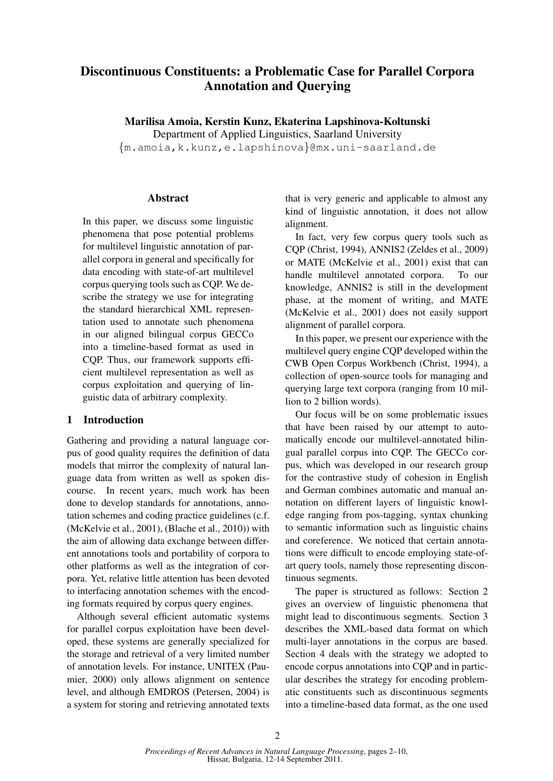# Discontinuous Constituents: a Problematic Case for Parallel Corpora Annotation and Querying

Marilisa Amoia, Kerstin Kunz, Ekaterina Lapshinova-Koltunski

Department of Applied Linguistics, Saarland University

{m.amoia,k.kunz,e.lapshinova}@mx.uni-saarland.de

## Abstract

In this paper, we discuss some linguistic phenomena that pose potential problems for multilevel linguistic annotation of parallel corpora in general and specifically for data encoding with state-of-art multilevel corpus querying tools such as CQP. We describe the strategy we use for integrating the standard hierarchical XML representation used to annotate such phenomena in our aligned bilingual corpus GECCo into a timeline-based format as used in CQP. Thus, our framework supports efficient multilevel representation as well as corpus exploitation and querying of linguistic data of arbitrary complexity.

## 1 Introduction

Gathering and providing a natural language corpus of good quality requires the definition of data models that mirror the complexity of natural language data from written as well as spoken discourse. In recent years, much work has been done to develop standards for annotations, annotation schemes and coding practice guidelines (c.f. (McKelvie et al., 2001), (Blache et al., 2010)) with the aim of allowing data exchange between different annotations tools and portability of corpora to other platforms as well as the integration of corpora. Yet, relative little attention has been devoted to interfacing annotation schemes with the encoding formats required by corpus query engines.

Although several efficient automatic systems for parallel corpus exploitation have been developed, these systems are generally specialized for the storage and retrieval of a very limited number of annotation levels. For instance, UNITEX (Paumier, 2000) only allows alignment on sentence level, and although EMDROS (Petersen, 2004) is a system for storing and retrieving annotated texts that is very generic and applicable to almost any kind of linguistic annotation, it does not allow alignment.

In fact, very few corpus query tools such as CQP (Christ, 1994), ANNIS2 (Zeldes et al., 2009) or MATE (McKelvie et al., 2001) exist that can handle multilevel annotated corpora. To our knowledge, ANNIS2 is still in the development phase, at the moment of writing, and MATE (McKelvie et al., 2001) does not easily support alignment of parallel corpora.

In this paper, we present our experience with the multilevel query engine CQP developed within the CWB Open Corpus Workbench (Christ, 1994), a collection of open-source tools for managing and querying large text corpora (ranging from 10 million to 2 billion words).

Our focus will be on some problematic issues that have been raised by our attempt to automatically encode our multilevel-annotated bilingual parallel corpus into CQP. The GECCo corpus, which was developed in our research group for the contrastive study of cohesion in English and German combines automatic and manual annotation on different layers of linguistic knowledge ranging from pos-tagging, syntax chunking to semantic information such as linguistic chains and coreference. We noticed that certain annotations were difficult to encode employing state-ofart query tools, namely those representing discontinuous segments.

The paper is structured as follows: Section 2 gives an overview of linguistic phenomena that might lead to discontinuous segments. Section 3 describes the XML-based data format on which multi-layer annotations in the corpus are based. Section 4 deals with the strategy we adopted to encode corpus annotations into CQP and in particular describes the strategy for encoding problematic constituents such as discontinuous segments into a timeline-based data format, as the one used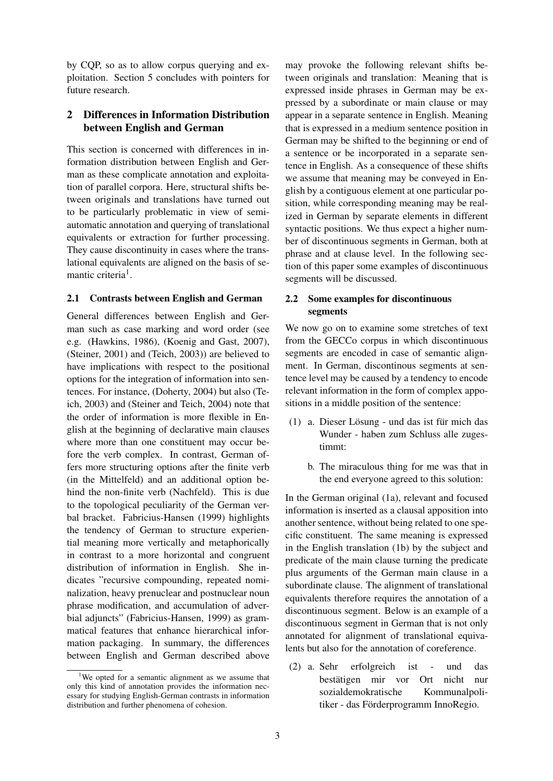by CQP, so as to allow corpus querying and exploitation. Section 5 concludes with pointers for future research.

## 2 Differences in Information Distribution between English and German

This section is concerned with differences in information distribution between English and German as these complicate annotation and exploitation of parallel corpora. Here, structural shifts between originals and translations have turned out to be particularly problematic in view of semiautomatic annotation and querying of translational equivalents or extraction for further processing. They cause discontinuity in cases where the translational equivalents are aligned on the basis of semantic criteria<sup>1</sup>.

#### 2.1 Contrasts between English and German

General differences between English and German such as case marking and word order (see e.g. (Hawkins, 1986), (Koenig and Gast, 2007), (Steiner, 2001) and (Teich, 2003)) are believed to have implications with respect to the positional options for the integration of information into sentences. For instance, (Doherty, 2004) but also (Teich, 2003) and (Steiner and Teich, 2004) note that the order of information is more flexible in English at the beginning of declarative main clauses where more than one constituent may occur before the verb complex. In contrast, German offers more structuring options after the finite verb (in the Mittelfeld) and an additional option behind the non-finite verb (Nachfeld). This is due to the topological peculiarity of the German verbal bracket. Fabricius-Hansen (1999) highlights the tendency of German to structure experiential meaning more vertically and metaphorically in contrast to a more horizontal and congruent distribution of information in English. She indicates "recursive compounding, repeated nominalization, heavy prenuclear and postnuclear noun phrase modification, and accumulation of adverbial adjuncts" (Fabricius-Hansen, 1999) as grammatical features that enhance hierarchical information packaging. In summary, the differences between English and German described above

<sup>1</sup>We opted for a semantic alignment as we assume that only this kind of annotation provides the information necessary for studying English-German contrasts in information distribution and further phenomena of cohesion.

may provoke the following relevant shifts between originals and translation: Meaning that is expressed inside phrases in German may be expressed by a subordinate or main clause or may appear in a separate sentence in English. Meaning that is expressed in a medium sentence position in German may be shifted to the beginning or end of a sentence or be incorporated in a separate sentence in English. As a consequence of these shifts we assume that meaning may be conveyed in English by a contiguous element at one particular position, while corresponding meaning may be realized in German by separate elements in different syntactic positions. We thus expect a higher number of discontinuous segments in German, both at phrase and at clause level. In the following section of this paper some examples of discontinuous segments will be discussed.

## 2.2 Some examples for discontinuous segments

We now go on to examine some stretches of text from the GECCo corpus in which discontinuous segments are encoded in case of semantic alignment. In German, discontinous segments at sentence level may be caused by a tendency to encode relevant information in the form of complex appositions in a middle position of the sentence:

- $(1)$  a. Dieser Lösung und das ist für mich das Wunder - haben zum Schluss alle zugestimmt:
	- b. The miraculous thing for me was that in the end everyone agreed to this solution:

In the German original (1a), relevant and focused information is inserted as a clausal apposition into another sentence, without being related to one specific constituent. The same meaning is expressed in the English translation (1b) by the subject and predicate of the main clause turning the predicate plus arguments of the German main clause in a subordinate clause. The alignment of translational equivalents therefore requires the annotation of a discontinuous segment. Below is an example of a discontinuous segment in German that is not only annotated for alignment of translational equivalents but also for the annotation of coreference.

(2) a. Sehr erfolgreich ist - und das bestätigen mir vor Ort nicht nur sozialdemokratische Kommunalpolitiker - das Förderprogramm InnoRegio.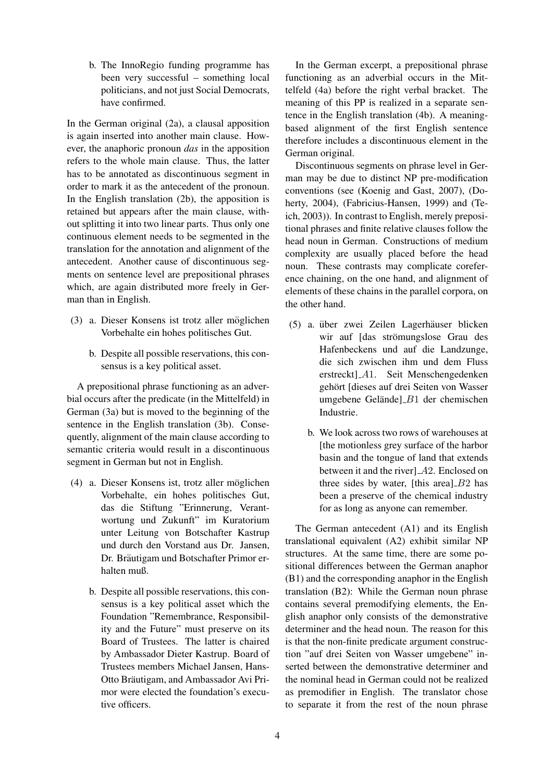b. The InnoRegio funding programme has been very successful – something local politicians, and not just Social Democrats, have confirmed.

In the German original (2a), a clausal apposition is again inserted into another main clause. However, the anaphoric pronoun *das* in the apposition refers to the whole main clause. Thus, the latter has to be annotated as discontinuous segment in order to mark it as the antecedent of the pronoun. In the English translation (2b), the apposition is retained but appears after the main clause, without splitting it into two linear parts. Thus only one continuous element needs to be segmented in the translation for the annotation and alignment of the antecedent. Another cause of discontinuous segments on sentence level are prepositional phrases which, are again distributed more freely in German than in English.

- (3) a. Dieser Konsens ist trotz aller möglichen Vorbehalte ein hohes politisches Gut.
	- b. Despite all possible reservations, this consensus is a key political asset.

A prepositional phrase functioning as an adverbial occurs after the predicate (in the Mittelfeld) in German (3a) but is moved to the beginning of the sentence in the English translation (3b). Consequently, alignment of the main clause according to semantic criteria would result in a discontinuous segment in German but not in English.

- (4) a. Dieser Konsens ist, trotz aller möglichen Vorbehalte, ein hohes politisches Gut, das die Stiftung "Erinnerung, Verantwortung und Zukunft" im Kuratorium unter Leitung von Botschafter Kastrup und durch den Vorstand aus Dr. Jansen, Dr. Bräutigam und Botschafter Primor erhalten muß.
	- b. Despite all possible reservations, this consensus is a key political asset which the Foundation "Remembrance, Responsibility and the Future" must preserve on its Board of Trustees. The latter is chaired by Ambassador Dieter Kastrup. Board of Trustees members Michael Jansen, Hans-Otto Bräutigam, and Ambassador Avi Primor were elected the foundation's executive officers.

In the German excerpt, a prepositional phrase functioning as an adverbial occurs in the Mittelfeld (4a) before the right verbal bracket. The meaning of this PP is realized in a separate sentence in the English translation (4b). A meaningbased alignment of the first English sentence therefore includes a discontinuous element in the German original.

Discontinuous segments on phrase level in German may be due to distinct NP pre-modification conventions (see (Koenig and Gast, 2007), (Doherty, 2004), (Fabricius-Hansen, 1999) and (Teich, 2003)). In contrast to English, merely prepositional phrases and finite relative clauses follow the head noun in German. Constructions of medium complexity are usually placed before the head noun. These contrasts may complicate coreference chaining, on the one hand, and alignment of elements of these chains in the parallel corpora, on the other hand.

- (5) a. über zwei Zeilen Lagerhäuser blicken wir auf [das strömungslose Grau des Hafenbeckens und auf die Landzunge, die sich zwischen ihm und dem Fluss erstreckt] A1. Seit Menschengedenken gehört [dieses auf drei Seiten von Wasser umgebene Gelände]  $B1$  der chemischen Industrie.
	- b. We look across two rows of warehouses at [the motionless grey surface of the harbor basin and the tongue of land that extends between it and the river $]$  $A2$ . Enclosed on three sides by water. [this area]  $B2$  has been a preserve of the chemical industry for as long as anyone can remember.

The German antecedent (A1) and its English translational equivalent (A2) exhibit similar NP structures. At the same time, there are some positional differences between the German anaphor (B1) and the corresponding anaphor in the English translation (B2): While the German noun phrase contains several premodifying elements, the English anaphor only consists of the demonstrative determiner and the head noun. The reason for this is that the non-finite predicate argument construction "auf drei Seiten von Wasser umgebene" inserted between the demonstrative determiner and the nominal head in German could not be realized as premodifier in English. The translator chose to separate it from the rest of the noun phrase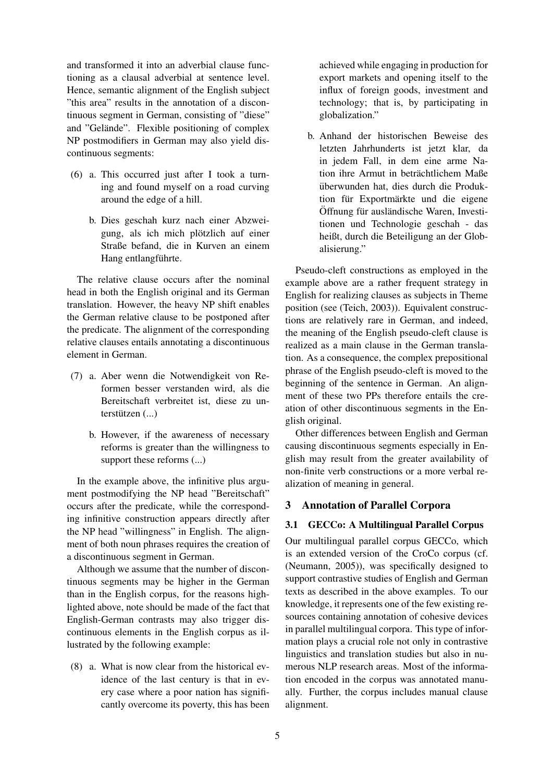and transformed it into an adverbial clause functioning as a clausal adverbial at sentence level. Hence, semantic alignment of the English subject "this area" results in the annotation of a discontinuous segment in German, consisting of "diese" and "Gelände". Flexible positioning of complex NP postmodifiers in German may also yield discontinuous segments:

- (6) a. This occurred just after I took a turning and found myself on a road curving around the edge of a hill.
	- b. Dies geschah kurz nach einer Abzweigung, als ich mich plötzlich auf einer Straße befand, die in Kurven an einem Hang entlangführte.

The relative clause occurs after the nominal head in both the English original and its German translation. However, the heavy NP shift enables the German relative clause to be postponed after the predicate. The alignment of the corresponding relative clauses entails annotating a discontinuous element in German.

- (7) a. Aber wenn die Notwendigkeit von Reformen besser verstanden wird, als die Bereitschaft verbreitet ist, diese zu un $textützen$  (...)
	- b. However, if the awareness of necessary reforms is greater than the willingness to support these reforms (...)

In the example above, the infinitive plus argument postmodifying the NP head "Bereitschaft" occurs after the predicate, while the corresponding infinitive construction appears directly after the NP head "willingness" in English. The alignment of both noun phrases requires the creation of a discontinuous segment in German.

Although we assume that the number of discontinuous segments may be higher in the German than in the English corpus, for the reasons highlighted above, note should be made of the fact that English-German contrasts may also trigger discontinuous elements in the English corpus as illustrated by the following example:

(8) a. What is now clear from the historical evidence of the last century is that in every case where a poor nation has significantly overcome its poverty, this has been achieved while engaging in production for export markets and opening itself to the influx of foreign goods, investment and technology; that is, by participating in globalization."

b. Anhand der historischen Beweise des letzten Jahrhunderts ist jetzt klar, da in jedem Fall, in dem eine arme Nation ihre Armut in beträchtlichem Maße uberwunden hat, dies durch die Produk- ¨ tion für Exportmärkte und die eigene Öffnung für ausländische Waren, Investitionen und Technologie geschah - das heißt, durch die Beteiligung an der Globalisierung."

Pseudo-cleft constructions as employed in the example above are a rather frequent strategy in English for realizing clauses as subjects in Theme position (see (Teich, 2003)). Equivalent constructions are relatively rare in German, and indeed, the meaning of the English pseudo-cleft clause is realized as a main clause in the German translation. As a consequence, the complex prepositional phrase of the English pseudo-cleft is moved to the beginning of the sentence in German. An alignment of these two PPs therefore entails the creation of other discontinuous segments in the English original.

Other differences between English and German causing discontinuous segments especially in English may result from the greater availability of non-finite verb constructions or a more verbal realization of meaning in general.

## 3 Annotation of Parallel Corpora

## 3.1 GECCo: A Multilingual Parallel Corpus

Our multilingual parallel corpus GECCo, which is an extended version of the CroCo corpus (cf. (Neumann, 2005)), was specifically designed to support contrastive studies of English and German texts as described in the above examples. To our knowledge, it represents one of the few existing resources containing annotation of cohesive devices in parallel multilingual corpora. This type of information plays a crucial role not only in contrastive linguistics and translation studies but also in numerous NLP research areas. Most of the information encoded in the corpus was annotated manually. Further, the corpus includes manual clause alignment.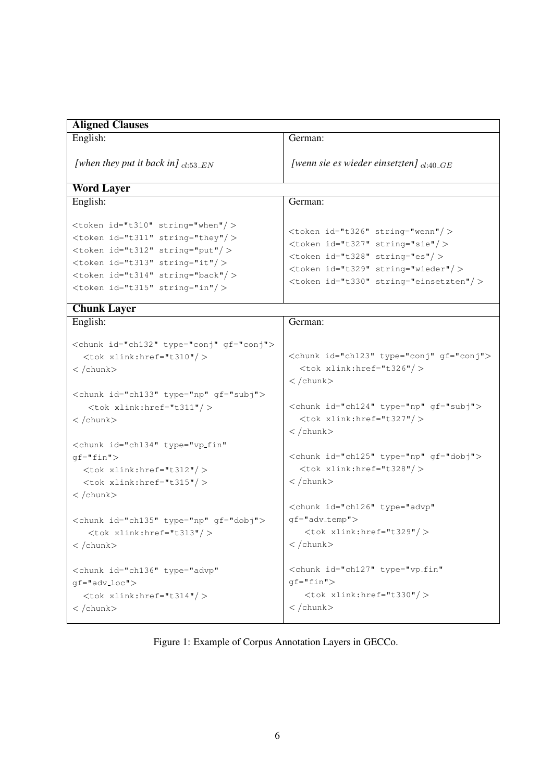| <b>Aligned Clauses</b>                                                                                                                                                                                                                                    |                                                                                                                                                                                                                          |
|-----------------------------------------------------------------------------------------------------------------------------------------------------------------------------------------------------------------------------------------------------------|--------------------------------------------------------------------------------------------------------------------------------------------------------------------------------------------------------------------------|
| English:                                                                                                                                                                                                                                                  | German:                                                                                                                                                                                                                  |
| [when they put it back in] $_{cl.53\_EN}$                                                                                                                                                                                                                 | [wenn sie es wieder einsetzten] $_{cl:40~GE}$                                                                                                                                                                            |
| <b>Word Layer</b>                                                                                                                                                                                                                                         |                                                                                                                                                                                                                          |
| English:                                                                                                                                                                                                                                                  | German:                                                                                                                                                                                                                  |
| <token id="t310" string="when"></token><br><token id="t311" string="they"></token><br><token id="t312" string="put"></token><br><token id="t313" string="it"></token><br><token id="t314" string="back"></token><br><token id="t315" string="in"></token> | <token id="t326" string="wenn"></token><br><token id="t327" string="sie"></token><br><token id="t328" string="es"></token><br><token id="t329" string="wieder"></token><br><token id="t330" string="einsetzten"></token> |
| <b>Chunk Layer</b>                                                                                                                                                                                                                                        |                                                                                                                                                                                                                          |
| English:                                                                                                                                                                                                                                                  | German:                                                                                                                                                                                                                  |
| <chunk id="ch132" qf="conj" type="conj"><br/><math>ltok</math> xlink: href="t310"/&gt;<br/><math>\langle</math>/chunk<math>\rangle</math></chunk>                                                                                                         | <chunk id="ch123" qf="conj" type="conj"><br/><math>ltok</math> xlink:href="t326"/&gt;<br/><math>\langle</math>/chunk&gt;</chunk>                                                                                         |
| <chunk gf="subj" id="ch133" type="np"><br/><math>ltok</math> xlink: href="t311"/&gt;<br/><math>\langle</math>/chunk<math>\rangle</math></chunk>                                                                                                           | <chunk gf="subj" id="ch124" type="np"><br/><math>ltok</math> xlink:href="t327"/&gt;<br/><math>\langle</math>/chunk&gt;</chunk>                                                                                           |
| <chunk <br="" id="ch134" type="vp_fin"><math>qf = "fin"</math><br/><math>ltok</math> xlink:href="t312"/&gt;<br/><math>ltok</math> xlink:href="t315"/&gt;<br/><math>\langle</math>/chunk<math>\rangle</math></chunk>                                       | <chunk gf="dobj" id="ch125" type="np"><br/><math>ltok</math> xlink:href="t328"/&gt;<br/><math>\langle</math>/chunk<math>\rangle</math></chunk>                                                                           |
| <chunk gf="dobj" id="ch135" type="np"><br/><math>ltok</math> xlink:href="t313"/&gt;<br/><math>\langle</math> /chunk<math>\rangle</math></chunk>                                                                                                           | <chunk <br="" id="ch126" type="advp"><math>gf="adv_temp" &gt;</math><br/><math>lt</math>ok xlink:href="t329"/<math>&gt;</math><br/><math>\langle</math>/chunk<math>\rangle</math></chunk>                                |
| <chunk <br="" id="ch136" type="advp"><math>gf="adv_loc")</math><br/><tok xlink:href="t314"></tok><br/><math>\langle</math>/chunk<math>\rangle</math></chunk>                                                                                              | <chunk <br="" id="ch127" type="vp_fin"><math>qf = "fin"</math><br/><math>ltok</math> xlink: href="t330"/&gt;<br/><math>\langle</math>/chunk<math>\rangle</math></chunk>                                                  |

Figure 1: Example of Corpus Annotation Layers in GECCo.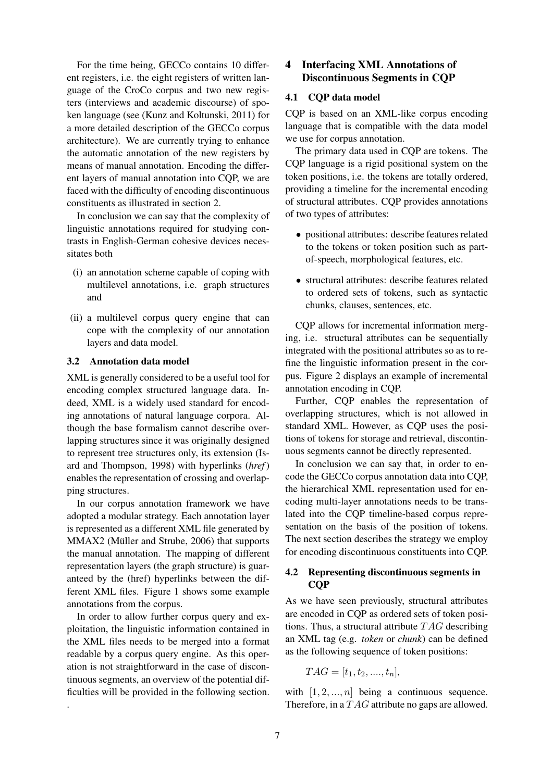For the time being, GECCo contains 10 different registers, i.e. the eight registers of written language of the CroCo corpus and two new registers (interviews and academic discourse) of spoken language (see (Kunz and Koltunski, 2011) for a more detailed description of the GECCo corpus architecture). We are currently trying to enhance the automatic annotation of the new registers by means of manual annotation. Encoding the different layers of manual annotation into CQP, we are faced with the difficulty of encoding discontinuous constituents as illustrated in section 2.

In conclusion we can say that the complexity of linguistic annotations required for studying contrasts in English-German cohesive devices necessitates both

- (i) an annotation scheme capable of coping with multilevel annotations, i.e. graph structures and
- (ii) a multilevel corpus query engine that can cope with the complexity of our annotation layers and data model.

#### 3.2 Annotation data model

XML is generally considered to be a useful tool for encoding complex structured language data. Indeed, XML is a widely used standard for encoding annotations of natural language corpora. Although the base formalism cannot describe overlapping structures since it was originally designed to represent tree structures only, its extension (Isard and Thompson, 1998) with hyperlinks (*href*) enables the representation of crossing and overlapping structures.

In our corpus annotation framework we have adopted a modular strategy. Each annotation layer is represented as a different XML file generated by MMAX2 (Müller and Strube, 2006) that supports the manual annotation. The mapping of different representation layers (the graph structure) is guaranteed by the (href) hyperlinks between the different XML files. Figure 1 shows some example annotations from the corpus.

In order to allow further corpus query and exploitation, the linguistic information contained in the XML files needs to be merged into a format readable by a corpus query engine. As this operation is not straightforward in the case of discontinuous segments, an overview of the potential difficulties will be provided in the following section.

.

## 4 Interfacing XML Annotations of Discontinuous Segments in CQP

### 4.1 CQP data model

CQP is based on an XML-like corpus encoding language that is compatible with the data model we use for corpus annotation.

The primary data used in CQP are tokens. The CQP language is a rigid positional system on the token positions, i.e. the tokens are totally ordered, providing a timeline for the incremental encoding of structural attributes. CQP provides annotations of two types of attributes:

- positional attributes: describe features related to the tokens or token position such as partof-speech, morphological features, etc.
- structural attributes: describe features related to ordered sets of tokens, such as syntactic chunks, clauses, sentences, etc.

CQP allows for incremental information merging, i.e. structural attributes can be sequentially integrated with the positional attributes so as to refine the linguistic information present in the corpus. Figure 2 displays an example of incremental annotation encoding in CQP.

Further, CQP enables the representation of overlapping structures, which is not allowed in standard XML. However, as CQP uses the positions of tokens for storage and retrieval, discontinuous segments cannot be directly represented.

In conclusion we can say that, in order to encode the GECCo corpus annotation data into CQP, the hierarchical XML representation used for encoding multi-layer annotations needs to be translated into the CQP timeline-based corpus representation on the basis of the position of tokens. The next section describes the strategy we employ for encoding discontinuous constituents into CQP.

#### 4.2 Representing discontinuous segments in CQP

As we have seen previously, structural attributes are encoded in CQP as ordered sets of token positions. Thus, a structural attribute  $TAG$  describing an XML tag (e.g. *token* or *chunk*) can be defined as the following sequence of token positions:

$$
TAG = [t_1, t_2, \dots, t_n],
$$

with  $[1, 2, ..., n]$  being a continuous sequence. Therefore, in a  $TAG$  attribute no gaps are allowed.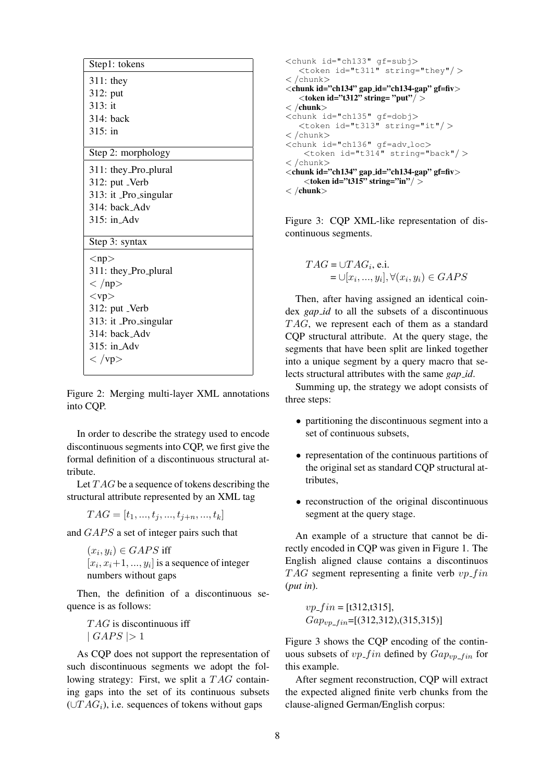| Step1: tokens           |
|-------------------------|
| $311:$ they             |
| 312: put                |
| 313: it                 |
| $314$ : back            |
| $315:$ in               |
| Step 2: morphology      |
| 311: they_Pro_plural    |
| 312: put _Verb          |
| 313: it Pro_singular    |
| 314: back Adv           |
| $315:$ in $\sim$ Adv    |
| Step 3: syntax          |
| $<$ np $>$              |
| 311: they_Pro_plural    |
| $<$ /np>                |
| $<$ vp $>$              |
| 312: put _Verb          |
| 313: it _Pro_singular   |
| 314: back_Adv           |
| $315:$ in Adv           |
| $\langle \nu p \rangle$ |

Figure 2: Merging multi-layer XML annotations into CQP.

In order to describe the strategy used to encode discontinuous segments into CQP, we first give the formal definition of a discontinuous structural attribute.

Let  $TAG$  be a sequence of tokens describing the structural attribute represented by an XML tag

 $TAG = [t_1, ..., t_i, ..., t_{i+n}, ..., t_k]$ 

and  $GAPS$  a set of integer pairs such that

 $(x_i, y_i) \in GAPS$  iff  $[x_i, x_i+1, ..., y_i]$  is a sequence of integer numbers without gaps

Then, the definition of a discontinuous sequence is as follows:

 $TAG$  is discontinuous iff  $| \textit{GAPS} | > 1$ 

As CQP does not support the representation of such discontinuous segments we adopt the following strategy: First, we split a  $TAG$  containing gaps into the set of its continuous subsets  $(\cup TAG_i)$ , i.e. sequences of tokens without gaps

```
<chunk id="ch133" gf=subj>
   <token id="t311" string="they"/ >
< /chunk>
\lechunk id="ch134" gap_id="ch134-gap" gf=fiv>
   <token id="t312" string= "put"/>\langle /chunk\rangle<chunk id="ch135" gf=dobj>
   <token id="t313" string="it"/ >
< /chunk>
\zetachunk id="ch136" qf=adv_loc>
    <token id="t314" string="back"/ >
< /chunk>
\langle chunk id="ch134" gap_id="ch134-gap" gf=fiv
    \overline{\left(1\right)} <token id="t315" string="in"/>
\langle /chunk\rangle
```
Figure 3: CQP XML-like representation of discontinuous segments.

$$
TAG = \cup TAG_i, e.i.
$$
  
=  $\cup [x_i, ..., y_i], \forall (x_i, y_i) \in GAPS$ 

Then, after having assigned an identical coindex *gap id* to all the subsets of a discontinuous  $TAG$ , we represent each of them as a standard CQP structural attribute. At the query stage, the segments that have been split are linked together into a unique segment by a query macro that selects structural attributes with the same *gap id*.

Summing up, the strategy we adopt consists of three steps:

- partitioning the discontinuous segment into a set of continuous subsets,
- representation of the continuous partitions of the original set as standard CQP structural attributes,
- reconstruction of the original discontinuous segment at the query stage.

An example of a structure that cannot be directly encoded in CQP was given in Figure 1. The English aligned clause contains a discontinuos  $TAG$  segment representing a finite verb  $vp\_fin$ (*put in*).

 $vp\_fin = [t312,t315],$  $Gap_{vp\_fin}$ =[(312,312),(315,315)]

Figure 3 shows the CQP encoding of the continuous subsets of  $vp\_fin$  defined by  $Gap_{vp\_fin}$  for this example.

After segment reconstruction, CQP will extract the expected aligned finite verb chunks from the clause-aligned German/English corpus: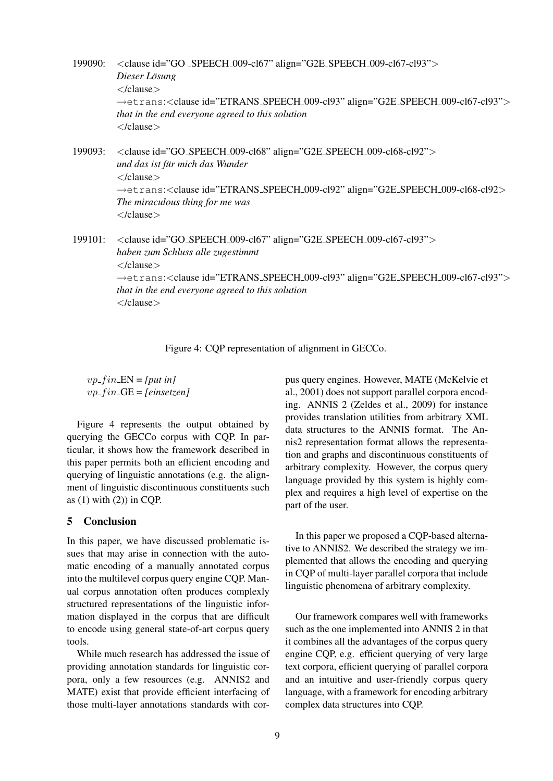199090: <clause id="GO SPEECH 009-cl67" align="G2E SPEECH 009-cl67-cl93"> *Dieser Losung ¨* </clause> →etrans:<clause id="ETRANS SPEECH 009-cl93" align="G2E SPEECH 009-cl67-cl93"> *that in the end everyone agreed to this solution* </clause>

199093: <clause id="GO SPEECH 009-cl68" align="G2E SPEECH 009-cl68-cl92"> *und das ist fur mich das Wunder ¨* </clause> →etrans:<clause id="ETRANS SPEECH 009-cl92" align="G2E SPEECH 009-cl68-cl92> *The miraculous thing for me was* </clause>

199101: <clause id="GO SPEECH 009-cl67" align="G2E SPEECH 009-cl67-cl93"> *haben zum Schluss alle zugestimmt* </clause> →etrans:<clause id="ETRANS SPEECH 009-cl93" align="G2E SPEECH 009-cl67-cl93"> *that in the end everyone agreed to this solution* </clause>

Figure 4: CQP representation of alignment in GECCo.

 $vp_f$ *in*  $EN = [put in]$  $vp_f$  *in*  $-$ GE = *[einsetzen]* 

Figure 4 represents the output obtained by querying the GECCo corpus with CQP. In particular, it shows how the framework described in this paper permits both an efficient encoding and querying of linguistic annotations (e.g. the alignment of linguistic discontinuous constituents such as  $(1)$  with  $(2)$ ) in CQP.

## 5 Conclusion

In this paper, we have discussed problematic issues that may arise in connection with the automatic encoding of a manually annotated corpus into the multilevel corpus query engine CQP. Manual corpus annotation often produces complexly structured representations of the linguistic information displayed in the corpus that are difficult to encode using general state-of-art corpus query tools.

While much research has addressed the issue of providing annotation standards for linguistic corpora, only a few resources (e.g. ANNIS2 and MATE) exist that provide efficient interfacing of those multi-layer annotations standards with corpus query engines. However, MATE (McKelvie et al., 2001) does not support parallel corpora encoding. ANNIS 2 (Zeldes et al., 2009) for instance provides translation utilities from arbitrary XML data structures to the ANNIS format. The Annis2 representation format allows the representation and graphs and discontinuous constituents of arbitrary complexity. However, the corpus query language provided by this system is highly complex and requires a high level of expertise on the part of the user.

In this paper we proposed a CQP-based alternative to ANNIS2. We described the strategy we implemented that allows the encoding and querying in CQP of multi-layer parallel corpora that include linguistic phenomena of arbitrary complexity.

Our framework compares well with frameworks such as the one implemented into ANNIS 2 in that it combines all the advantages of the corpus query engine CQP, e.g. efficient querying of very large text corpora, efficient querying of parallel corpora and an intuitive and user-friendly corpus query language, with a framework for encoding arbitrary complex data structures into CQP.